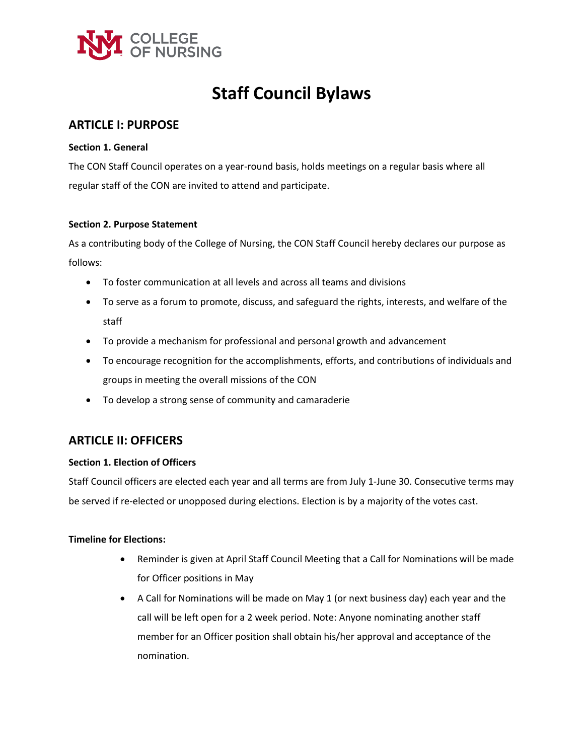

# **Staff Council Bylaws**

# **ARTICLE I: PURPOSE**

### **Section 1. General**

The CON Staff Council operates on a year-round basis, holds meetings on a regular basis where all regular staff of the CON are invited to attend and participate.

### **Section 2. Purpose Statement**

As a contributing body of the College of Nursing, the CON Staff Council hereby declares our purpose as follows:

- To foster communication at all levels and across all teams and divisions
- To serve as a forum to promote, discuss, and safeguard the rights, interests, and welfare of the staff
- To provide a mechanism for professional and personal growth and advancement
- To encourage recognition for the accomplishments, efforts, and contributions of individuals and groups in meeting the overall missions of the CON
- To develop a strong sense of community and camaraderie

# **ARTICLE II: OFFICERS**

# **Section 1. Election of Officers**

Staff Council officers are elected each year and all terms are from July 1-June 30. Consecutive terms may be served if re-elected or unopposed during elections. Election is by a majority of the votes cast.

# **Timeline for Elections:**

- Reminder is given at April Staff Council Meeting that a Call for Nominations will be made for Officer positions in May
- A Call for Nominations will be made on May 1 (or next business day) each year and the call will be left open for a 2 week period. Note: Anyone nominating another staff member for an Officer position shall obtain his/her approval and acceptance of the nomination.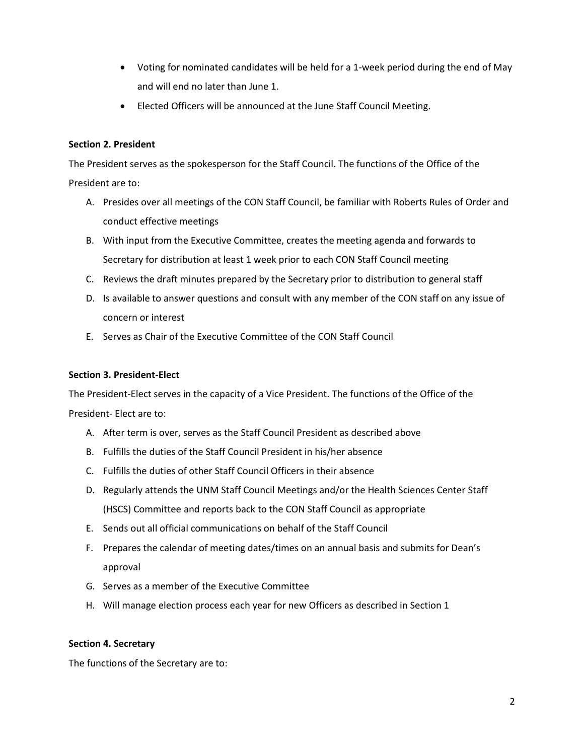- Voting for nominated candidates will be held for a 1-week period during the end of May and will end no later than June 1.
- Elected Officers will be announced at the June Staff Council Meeting.

# **Section 2. President**

The President serves as the spokesperson for the Staff Council. The functions of the Office of the President are to:

- A. Presides over all meetings of the CON Staff Council, be familiar with Roberts Rules of Order and conduct effective meetings
- B. With input from the Executive Committee, creates the meeting agenda and forwards to Secretary for distribution at least 1 week prior to each CON Staff Council meeting
- C. Reviews the draft minutes prepared by the Secretary prior to distribution to general staff
- D. Is available to answer questions and consult with any member of the CON staff on any issue of concern or interest
- E. Serves as Chair of the Executive Committee of the CON Staff Council

# **Section 3. President-Elect**

The President-Elect serves in the capacity of a Vice President. The functions of the Office of the

President- Elect are to:

- A. After term is over, serves as the Staff Council President as described above
- B. Fulfills the duties of the Staff Council President in his/her absence
- C. Fulfills the duties of other Staff Council Officers in their absence
- D. Regularly attends the UNM Staff Council Meetings and/or the Health Sciences Center Staff (HSCS) Committee and reports back to the CON Staff Council as appropriate
- E. Sends out all official communications on behalf of the Staff Council
- F. Prepares the calendar of meeting dates/times on an annual basis and submits for Dean's approval
- G. Serves as a member of the Executive Committee
- H. Will manage election process each year for new Officers as described in Section 1

# **Section 4. Secretary**

The functions of the Secretary are to: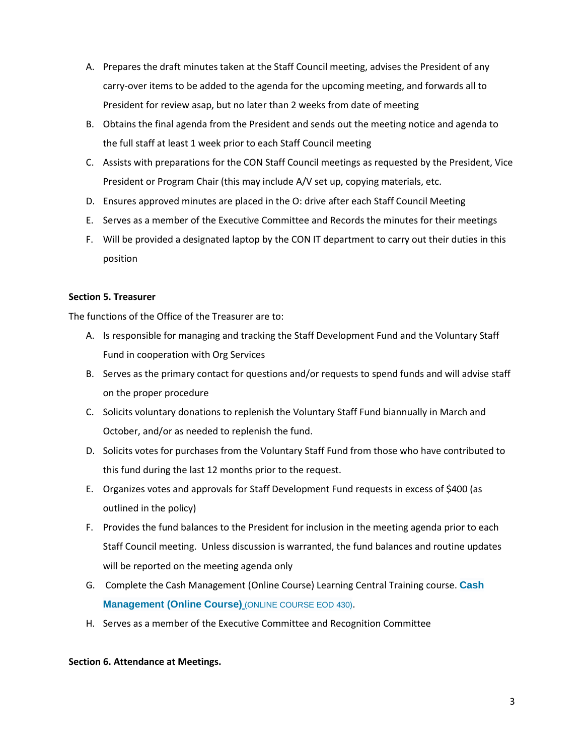- A. Prepares the draft minutes taken at the Staff Council meeting, advises the President of any carry-over items to be added to the agenda for the upcoming meeting, and forwards all to President for review asap, but no later than 2 weeks from date of meeting
- B. Obtains the final agenda from the President and sends out the meeting notice and agenda to the full staff at least 1 week prior to each Staff Council meeting
- C. Assists with preparations for the CON Staff Council meetings as requested by the President, Vice President or Program Chair (this may include A/V set up, copying materials, etc.
- D. Ensures approved minutes are placed in the O: drive after each Staff Council Meeting
- E. Serves as a member of the Executive Committee and Records the minutes for their meetings
- F. Will be provided a designated laptop by the CON IT department to carry out their duties in this position

# **Section 5. Treasurer**

The functions of the Office of the Treasurer are to:

- A. Is responsible for managing and tracking the Staff Development Fund and the Voluntary Staff Fund in cooperation with Org Services
- B. Serves as the primary contact for questions and/or requests to spend funds and will advise staff on the proper procedure
- C. Solicits voluntary donations to replenish the Voluntary Staff Fund biannually in March and October, and/or as needed to replenish the fund.
- D. Solicits votes for purchases from the Voluntary Staff Fund from those who have contributed to this fund during the last 12 months prior to the request.
- E. Organizes votes and approvals for Staff Development Fund requests in excess of \$400 (as outlined in the policy)
- F. Provides the fund balances to the President for inclusion in the meeting agenda prior to each Staff Council meeting. Unless discussion is warranted, the fund balances and routine updates will be reported on the meeting agenda only
- G. Complete the Cash Management (Online Course) Learning Central Training course. **[Cash](https://learningcentral.health.unm.edu/learning/user/catalogsearch/catalogSearchDispatchAction.do?searchType=filteredSearch&keywords=Cash+Management&OWASP_CSRFTOKEN=MATY-PB0K-VK3F-TBYM-X7N6-USB6-NQBW-0PF6)  [Management \(Online Course\)](https://learningcentral.health.unm.edu/learning/user/catalogsearch/catalogSearchDispatchAction.do?searchType=filteredSearch&keywords=Cash+Management&OWASP_CSRFTOKEN=MATY-PB0K-VK3F-TBYM-X7N6-USB6-NQBW-0PF6)** (ONLINE COURSE EOD 430).
- H. Serves as a member of the Executive Committee and Recognition Committee

#### **Section 6. Attendance at Meetings.**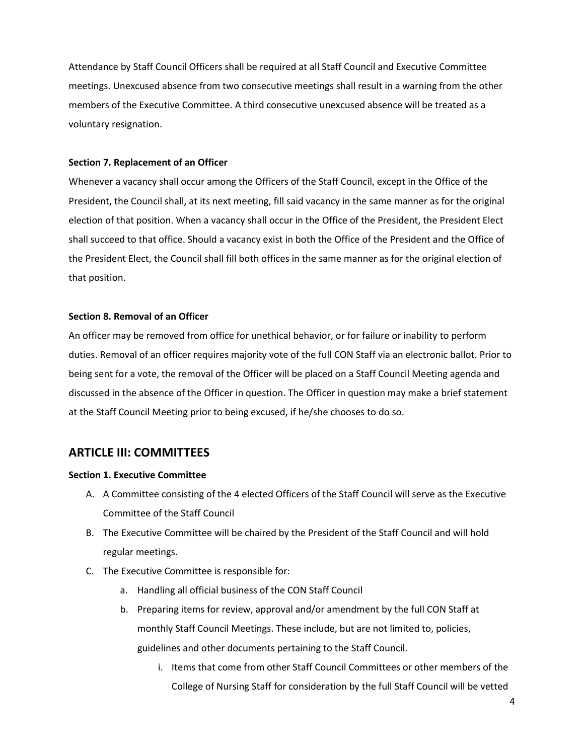Attendance by Staff Council Officers shall be required at all Staff Council and Executive Committee meetings. Unexcused absence from two consecutive meetings shall result in a warning from the other members of the Executive Committee. A third consecutive unexcused absence will be treated as a voluntary resignation.

### **Section 7. Replacement of an Officer**

Whenever a vacancy shall occur among the Officers of the Staff Council, except in the Office of the President, the Council shall, at its next meeting, fill said vacancy in the same manner as for the original election of that position. When a vacancy shall occur in the Office of the President, the President Elect shall succeed to that office. Should a vacancy exist in both the Office of the President and the Office of the President Elect, the Council shall fill both offices in the same manner as for the original election of that position.

### **Section 8. Removal of an Officer**

An officer may be removed from office for unethical behavior, or for failure or inability to perform duties. Removal of an officer requires majority vote of the full CON Staff via an electronic ballot. Prior to being sent for a vote, the removal of the Officer will be placed on a Staff Council Meeting agenda and discussed in the absence of the Officer in question. The Officer in question may make a brief statement at the Staff Council Meeting prior to being excused, if he/she chooses to do so.

# **ARTICLE III: COMMITTEES**

#### **Section 1. Executive Committee**

- A. A Committee consisting of the 4 elected Officers of the Staff Council will serve as the Executive Committee of the Staff Council
- B. The Executive Committee will be chaired by the President of the Staff Council and will hold regular meetings.
- C. The Executive Committee is responsible for:
	- a. Handling all official business of the CON Staff Council
	- b. Preparing items for review, approval and/or amendment by the full CON Staff at monthly Staff Council Meetings. These include, but are not limited to, policies, guidelines and other documents pertaining to the Staff Council.
		- i. Items that come from other Staff Council Committees or other members of the College of Nursing Staff for consideration by the full Staff Council will be vetted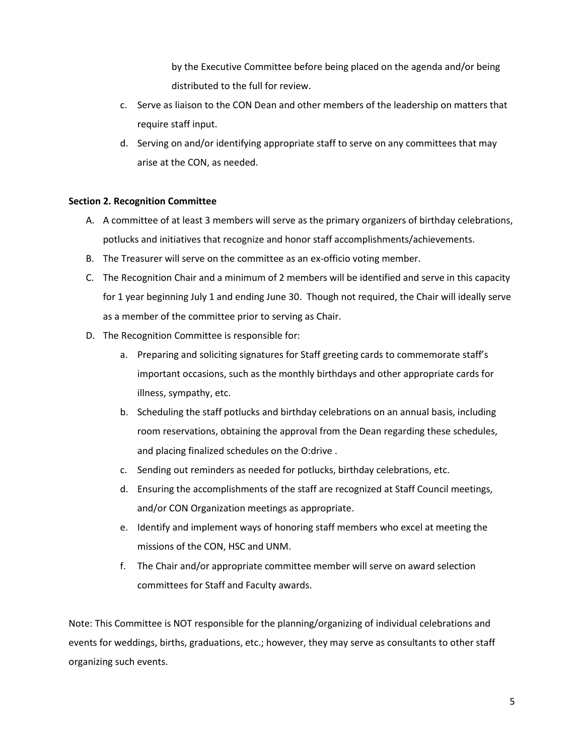by the Executive Committee before being placed on the agenda and/or being distributed to the full for review.

- c. Serve as liaison to the CON Dean and other members of the leadership on matters that require staff input.
- d. Serving on and/or identifying appropriate staff to serve on any committees that may arise at the CON, as needed.

### **Section 2. Recognition Committee**

- A. A committee of at least 3 members will serve as the primary organizers of birthday celebrations, potlucks and initiatives that recognize and honor staff accomplishments/achievements.
- B. The Treasurer will serve on the committee as an ex-officio voting member.
- C. The Recognition Chair and a minimum of 2 members will be identified and serve in this capacity for 1 year beginning July 1 and ending June 30. Though not required, the Chair will ideally serve as a member of the committee prior to serving as Chair.
- D. The Recognition Committee is responsible for:
	- a. Preparing and soliciting signatures for Staff greeting cards to commemorate staff's important occasions, such as the monthly birthdays and other appropriate cards for illness, sympathy, etc.
	- b. Scheduling the staff potlucks and birthday celebrations on an annual basis, including room reservations, obtaining the approval from the Dean regarding these schedules, and placing finalized schedules on the O:drive .
	- c. Sending out reminders as needed for potlucks, birthday celebrations, etc.
	- d. Ensuring the accomplishments of the staff are recognized at Staff Council meetings, and/or CON Organization meetings as appropriate.
	- e. Identify and implement ways of honoring staff members who excel at meeting the missions of the CON, HSC and UNM.
	- f. The Chair and/or appropriate committee member will serve on award selection committees for Staff and Faculty awards.

Note: This Committee is NOT responsible for the planning/organizing of individual celebrations and events for weddings, births, graduations, etc.; however, they may serve as consultants to other staff organizing such events.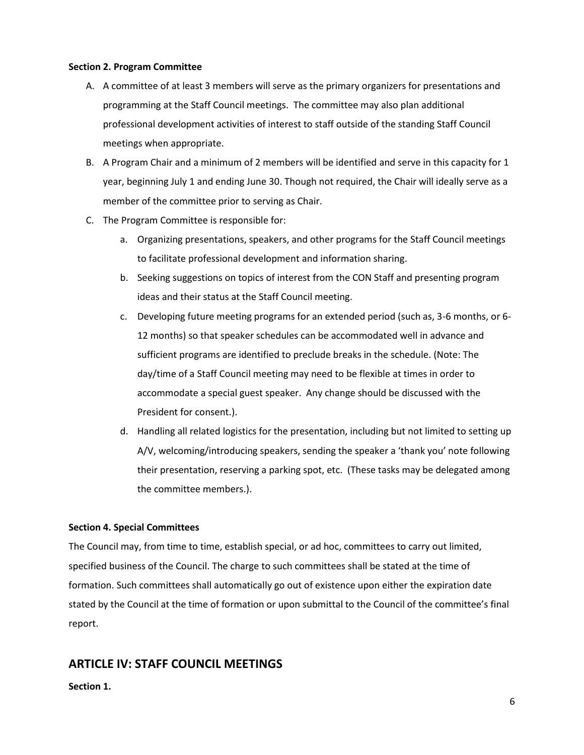#### **Section 2. Program Committee**

- A. A committee of at least 3 members will serve as the primary organizers for presentations and programming at the Staff Council meetings. The committee may also plan additional professional development activities of interest to staff outside of the standing Staff Council meetings when appropriate.
- B. A Program Chair and a minimum of 2 members will be identified and serve in this capacity for 1 year, beginning July 1 and ending June 30. Though not required, the Chair will ideally serve as a member of the committee prior to serving as Chair.
- C. The Program Committee is responsible for:
	- a. Organizing presentations, speakers, and other programs for the Staff Council meetings to facilitate professional development and information sharing.
	- b. Seeking suggestions on topics of interest from the CON Staff and presenting program ideas and their status at the Staff Council meeting.
	- c. Developing future meeting programs for an extended period (such as, 3-6 months, or 6- 12 months) so that speaker schedules can be accommodated well in advance and sufficient programs are identified to preclude breaks in the schedule. (Note: The day/time of a Staff Council meeting may need to be flexible at times in order to accommodate a special guest speaker. Any change should be discussed with the President for consent.).
	- d. Handling all related logistics for the presentation, including but not limited to setting up A/V, welcoming/introducing speakers, sending the speaker a 'thank you' note following their presentation, reserving a parking spot, etc. (These tasks may be delegated among the committee members.).

# **Section 4. Special Committees**

The Council may, from time to time, establish special, or ad hoc, committees to carry out limited, specified business of the Council. The charge to such committees shall be stated at the time of formation. Such committees shall automatically go out of existence upon either the expiration date stated by the Council at the time of formation or upon submittal to the Council of the committee's final report.

# **ARTICLE IV: STAFF COUNCIL MEETINGS**

# **Section 1.**